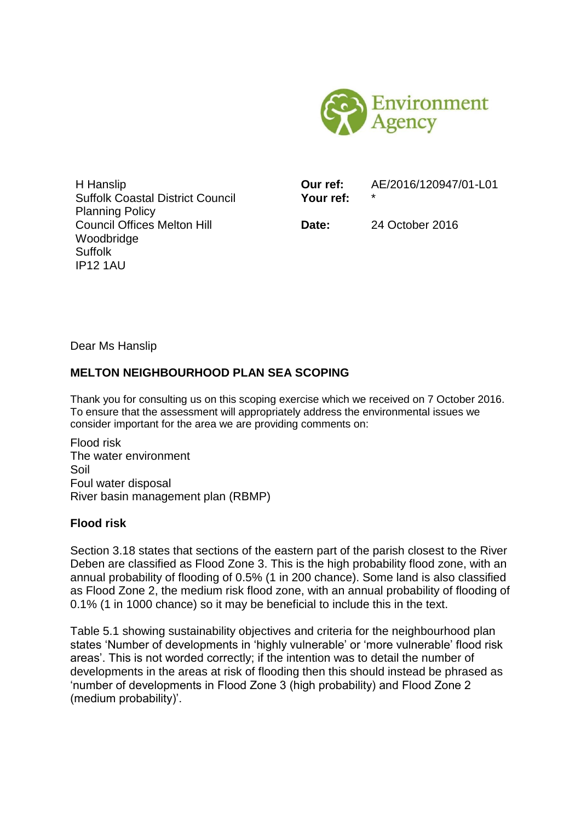

H Hanslip Suffolk Coastal District Council Planning Policy Council Offices Melton Hill Woodbridge Suffolk IP12 1AU

**Our ref:** AE/2016/120947/01-L01 **Your ref:** \*

**Date:** 24 October 2016

Dear Ms Hanslip

# **MELTON NEIGHBOURHOOD PLAN SEA SCOPING**

Thank you for consulting us on this scoping exercise which we received on 7 October 2016. To ensure that the assessment will appropriately address the environmental issues we consider important for the area we are providing comments on:

Flood risk The water environment Soil Foul water disposal River basin management plan (RBMP)

## **Flood risk**

Section 3.18 states that sections of the eastern part of the parish closest to the River Deben are classified as Flood Zone 3. This is the high probability flood zone, with an annual probability of flooding of 0.5% (1 in 200 chance). Some land is also classified as Flood Zone 2, the medium risk flood zone, with an annual probability of flooding of 0.1% (1 in 1000 chance) so it may be beneficial to include this in the text.

Table 5.1 showing sustainability objectives and criteria for the neighbourhood plan states 'Number of developments in 'highly vulnerable' or 'more vulnerable' flood risk areas'. This is not worded correctly; if the intention was to detail the number of developments in the areas at risk of flooding then this should instead be phrased as 'number of developments in Flood Zone 3 (high probability) and Flood Zone 2 (medium probability)'.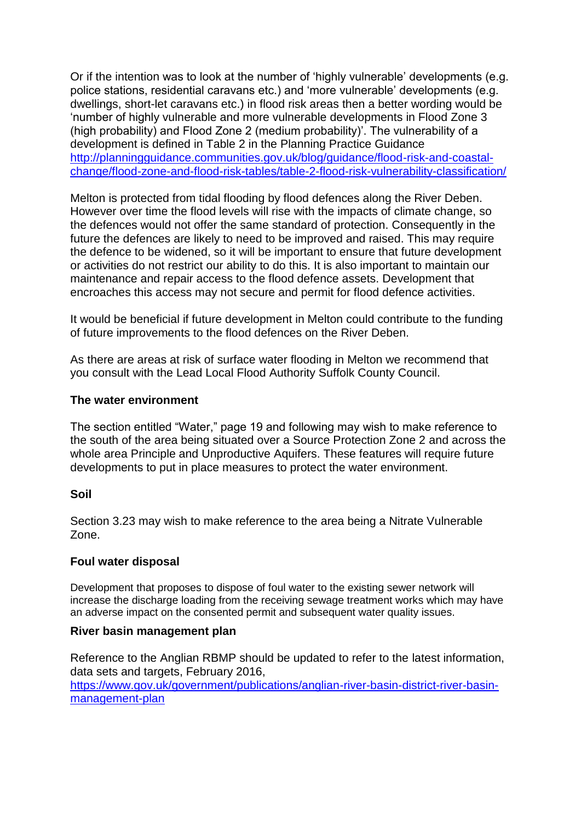Or if the intention was to look at the number of 'highly vulnerable' developments (e.g. police stations, residential caravans etc.) and 'more vulnerable' developments (e.g. dwellings, short-let caravans etc.) in flood risk areas then a better wording would be 'number of highly vulnerable and more vulnerable developments in Flood Zone 3 (high probability) and Flood Zone 2 (medium probability)'. The vulnerability of a development is defined in Table 2 in the Planning Practice Guidance [http://planningguidance.communities.gov.uk/blog/guidance/flood-risk-and-coastal](http://planningguidance.communities.gov.uk/blog/guidance/flood-risk-and-coastal-change/flood-zone-and-flood-risk-tables/table-2-flood-risk-vulnerability-classification/)[change/flood-zone-and-flood-risk-tables/table-2-flood-risk-vulnerability-classification/](http://planningguidance.communities.gov.uk/blog/guidance/flood-risk-and-coastal-change/flood-zone-and-flood-risk-tables/table-2-flood-risk-vulnerability-classification/)

Melton is protected from tidal flooding by flood defences along the River Deben. However over time the flood levels will rise with the impacts of climate change, so the defences would not offer the same standard of protection. Consequently in the future the defences are likely to need to be improved and raised. This may require the defence to be widened, so it will be important to ensure that future development or activities do not restrict our ability to do this. It is also important to maintain our maintenance and repair access to the flood defence assets. Development that encroaches this access may not secure and permit for flood defence activities.

It would be beneficial if future development in Melton could contribute to the funding of future improvements to the flood defences on the River Deben.

As there are areas at risk of surface water flooding in Melton we recommend that you consult with the Lead Local Flood Authority Suffolk County Council.

### **The water environment**

The section entitled "Water," page 19 and following may wish to make reference to the south of the area being situated over a Source Protection Zone 2 and across the whole area Principle and Unproductive Aquifers. These features will require future developments to put in place measures to protect the water environment.

### **Soil**

Section 3.23 may wish to make reference to the area being a Nitrate Vulnerable Zone.

### **Foul water disposal**

Development that proposes to dispose of foul water to the existing sewer network will increase the discharge loading from the receiving sewage treatment works which may have an adverse impact on the consented permit and subsequent water quality issues.

#### **River basin management plan**

Reference to the Anglian RBMP should be updated to refer to the latest information, data sets and targets, February 2016,

[https://www.gov.uk/government/publications/anglian-river-basin-district-river-basin](https://www.gov.uk/government/publications/anglian-river-basin-district-river-basin-management-plan)[management-plan](https://www.gov.uk/government/publications/anglian-river-basin-district-river-basin-management-plan)